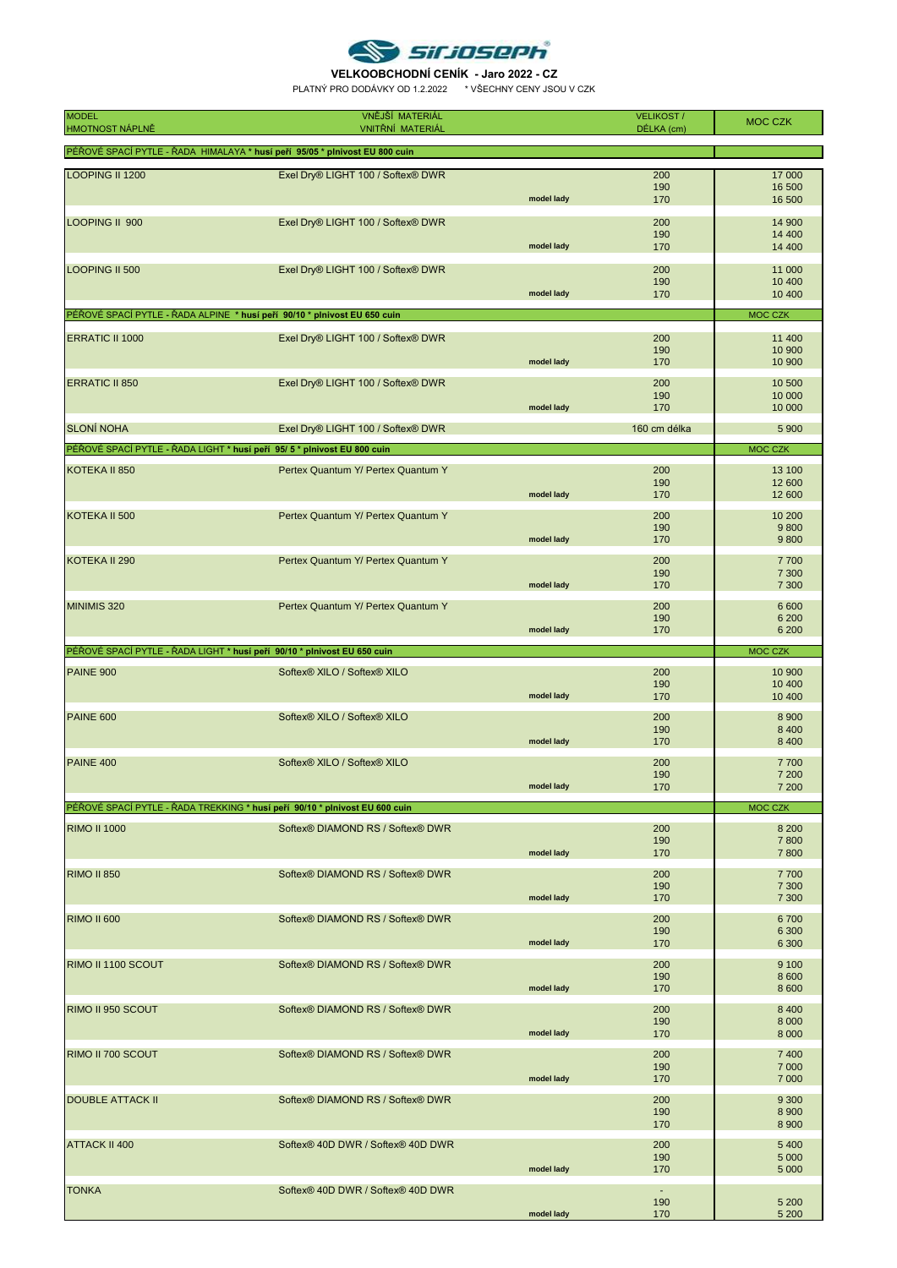

**VELKOOBCHODNÍ CENÍK - Jaro 2022 - CZ** PLATNÝ PRO DODÁVKY OD 1.2.2022 \* VŠECHNY CENY JSOU V CZK

| <b>MODEL</b><br><b>HMOTNOST NÁPLNĚ</b> | VNĚJŠÍ MATERIÁL<br><b>VNITŘNÍ MATERIÁL</b>                                  |            | <b>VELIKOST/</b><br>DÉLKA (cm) | <b>MOC CZK</b>                |
|----------------------------------------|-----------------------------------------------------------------------------|------------|--------------------------------|-------------------------------|
|                                        | PÉŘOVÉ SPACÍ PYTLE - ŘADA HIMALAYA * husí peří 95/05 * plnivost EU 800 cuin |            |                                |                               |
|                                        |                                                                             |            |                                |                               |
| LOOPING II 1200                        | Exel Dry® LIGHT 100 / Softex® DWR                                           | model lady | 200<br>190<br>170              | 17 000<br>16 500<br>16 500    |
| LOOPING II 900                         | Exel Dry® LIGHT 100 / Softex® DWR                                           | model lady | 200<br>190<br>170              | 14 900<br>14 400<br>14 400    |
| LOOPING II 500                         | Exel Dry® LIGHT 100 / Softex® DWR                                           | model lady | 200<br>190<br>170              | 11 000<br>10 400<br>10 400    |
|                                        | PÉŘOVÉ SPACÍ PYTLE - ŘADA ALPINE * husí peří 90/10 * plnivost EU 650 cuin   |            |                                | <b>MOC CZK</b>                |
| <b>ERRATIC II 1000</b>                 | Exel Dry® LIGHT 100 / Softex® DWR                                           | model lady | 200<br>190<br>170              | 11 400<br>10 900<br>10 900    |
| <b>ERRATIC II 850</b>                  | Exel Dry® LIGHT 100 / Softex® DWR                                           | model lady | 200<br>190<br>170              | 10 500<br>10 000<br>10 000    |
| <b>SLONÍ NOHA</b>                      | Exel Dry® LIGHT 100 / Softex® DWR                                           |            | 160 cm délka                   | 5 900                         |
|                                        | PÉŘOVÉ SPACÍ PYTLE - ŘADA LIGHT * husí peří 95/5 * plnivost EU 800 cuin     |            |                                | MOC CZK                       |
| KOTEKA II 850                          | Pertex Quantum Y/ Pertex Quantum Y                                          | model lady | 200<br>190<br>170              | 13 100<br>12 600<br>12 600    |
| KOTEKA II 500                          | Pertex Quantum Y/ Pertex Quantum Y                                          | model lady | 200<br>190<br>170              | 10 200<br>9800<br>9800        |
| KOTEKA II 290                          | Pertex Quantum Y/ Pertex Quantum Y                                          | model lady | 200<br>190<br>170              | 7700<br>7 300<br>7 300        |
| MINIMIS 320                            | Pertex Quantum Y/ Pertex Quantum Y                                          | model lady | 200<br>190<br>170              | 6 600<br>6 200<br>6 200       |
|                                        | PÉŘOVÉ SPACÍ PYTLE - ŘADA LIGHT * husí peří 90/10 * plnivost EU 650 cuin    |            |                                | MOC CZK                       |
| <b>PAINE 900</b>                       | Softex® XILO / Softex® XILO                                                 | model lady | 200<br>190<br>170              | 10 900<br>10 400<br>10 400    |
| <b>PAINE 600</b>                       | Softex® XILO / Softex® XILO                                                 | model lady | 200<br>190<br>170              | 8 9 0 0<br>8 4 0 0<br>8 4 0 0 |
| <b>PAINE 400</b>                       | Softex® XILO / Softex® XILO                                                 | model lady | 200<br>190<br>170              | 7700<br>7 200<br>7 200        |
|                                        | PÉŘOVÉ SPACÍ PYTLE - ŘADA TREKKING * husí peří 90/10 * plnivost EU 600 cuin |            |                                | <b>MOC CZK</b>                |
| <b>RIMO II 1000</b>                    | Softex® DIAMOND RS / Softex® DWR                                            | model lady | 200<br>190<br>170              | 8 2 0 0<br>7800<br>7800       |
| <b>RIMO II 850</b>                     | Softex® DIAMOND RS / Softex® DWR                                            | model lady | 200<br>190<br>170              | 7700<br>7 300<br>7 300        |
| <b>RIMO II 600</b>                     | Softex® DIAMOND RS / Softex® DWR                                            | model lady | 200<br>190<br>170              | 6700<br>6 3 0 0<br>6 300      |
| RIMO II 1100 SCOUT                     | Softex® DIAMOND RS / Softex® DWR                                            | model lady | 200<br>190<br>170              | 9 1 0 0<br>8 600<br>8 600     |
| RIMO II 950 SCOUT                      | Softex® DIAMOND RS / Softex® DWR                                            | model lady | 200<br>190<br>170              | 8 4 0 0<br>8 0 0 0<br>8 0 0 0 |
| RIMO II 700 SCOUT                      | Softex® DIAMOND RS / Softex® DWR                                            | model lady | 200<br>190<br>170              | 7 4 0 0<br>7 0 0 0<br>7 0 0 0 |
| <b>DOUBLE ATTACK II</b>                | Softex® DIAMOND RS / Softex® DWR                                            |            | 200<br>190<br>170              | 9 3 0 0<br>8 9 0 0<br>8 9 0 0 |
| <b>ATTACK II 400</b>                   | Softex® 40D DWR / Softex® 40D DWR                                           | model lady | 200<br>190<br>170              | 5 4 0 0<br>5 0 0 0<br>5 0 0 0 |
| <b>TONKA</b>                           | Softex® 40D DWR / Softex® 40D DWR                                           | model lady | $\sim$<br>190<br>170           | 5 200<br>5 200                |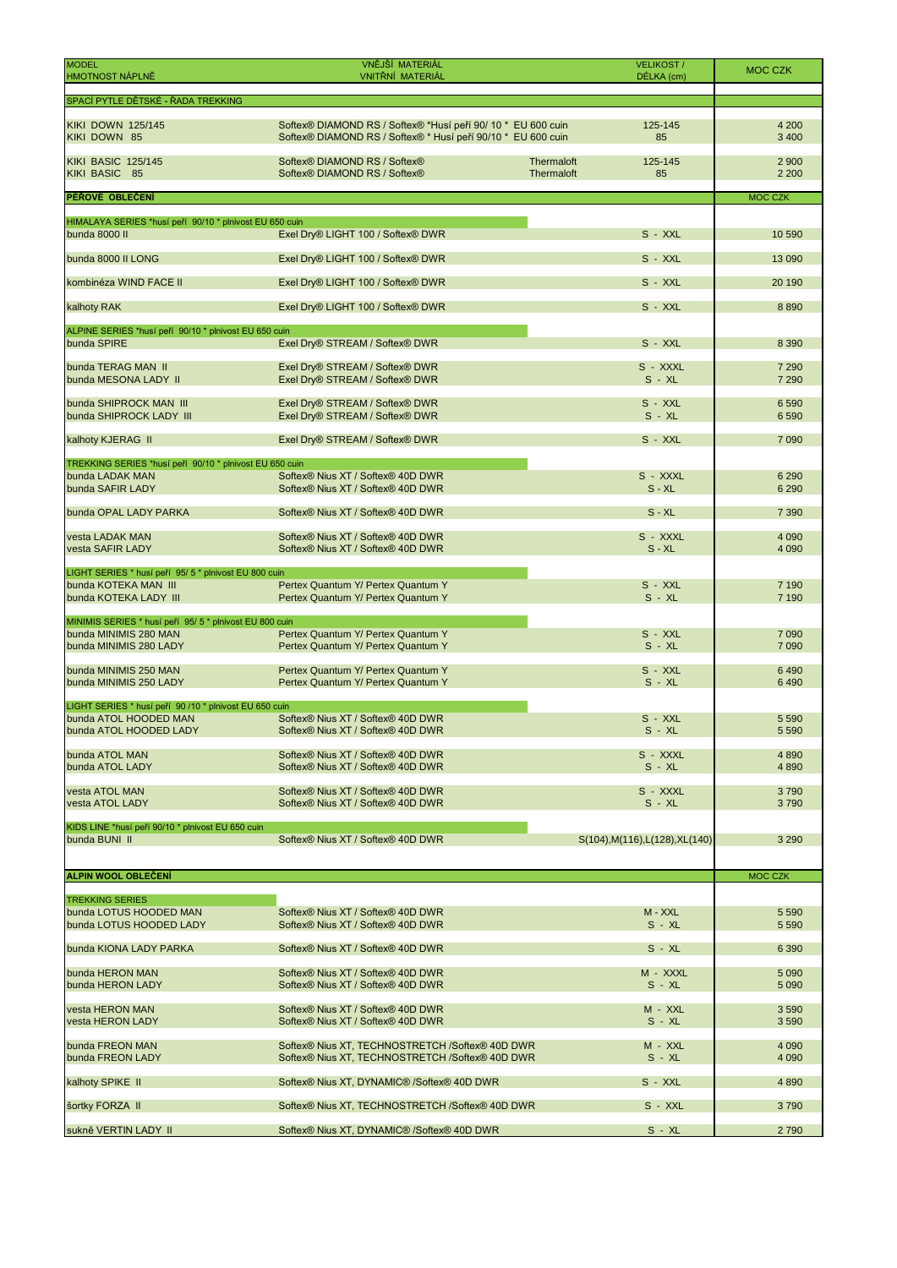| <b>MODEL</b><br><b>HMOTNOST NÁPLNĚ</b>                                   | VNĚJŠÍ MATERIÁL<br>VNITŘNÍ MATERIÁL                                                                                          | <b>VELIKOST/</b><br>DÉLKA (cm)            | <b>MOC CZK</b>     |
|--------------------------------------------------------------------------|------------------------------------------------------------------------------------------------------------------------------|-------------------------------------------|--------------------|
| SPACÍ PYTLE DĚTSKÉ - ŘADA TREKKING                                       |                                                                                                                              |                                           |                    |
| <b>KIKI DOWN 125/145</b><br>KIKI DOWN 85                                 | Softex® DIAMOND RS / Softex® *Husí peří 90/ 10 * EU 600 cuin<br>Softex® DIAMOND RS / Softex® * Husí peří 90/10 * EU 600 cuin | 125-145<br>85                             | 4 200<br>3 4 0 0   |
| <b>KIKI BASIC 125/145</b><br>KIKI BASIC 85                               | Softex® DIAMOND RS / Softex®<br>Softex® DIAMOND RS / Softex®                                                                 | Thermaloft<br>125-145<br>Thermaloft<br>85 | 2 9 0 0<br>2 2 0 0 |
| PÉŘOVÉ OBLEČENÍ                                                          |                                                                                                                              |                                           | <b>MOC CZK</b>     |
| HIMALAYA SERIES *husí peří 90/10 * plnivost EU 650 cuin<br>bunda 8000 II | Exel Dry® LIGHT 100 / Softex® DWR                                                                                            | S - XXL                                   | 10 590             |
| bunda 8000 II LONG                                                       | Exel Dry® LIGHT 100 / Softex® DWR                                                                                            | S - XXL                                   | 13 0 90            |
| kombinéza WIND FACE II                                                   | Exel Dry® LIGHT 100 / Softex® DWR                                                                                            | S - XXL                                   | 20 190             |
| kalhoty RAK                                                              | Exel Dry® LIGHT 100 / Softex® DWR                                                                                            | $S - XXL$                                 | 8890               |
| ALPINE SERIES *husí peří 90/10 * plnivost EU 650 cuin                    |                                                                                                                              |                                           |                    |
| bunda SPIRE                                                              | Exel Dry® STREAM / Softex® DWR                                                                                               | $S - XXL$                                 | 8 3 9 0            |
| bunda TERAG MAN II<br>bunda MESONA LADY II                               | Exel Dry® STREAM / Softex® DWR<br>Exel Dry® STREAM / Softex® DWR                                                             | S - XXXL<br>$S - XL$                      | 7 2 9 0<br>7 2 9 0 |
| bunda SHIPROCK MAN III<br>bunda SHIPROCK LADY III                        | Exel Dry® STREAM / Softex® DWR<br>Exel Dry® STREAM / Softex® DWR                                                             | S - XXL<br>$S - XL$                       | 6 5 9 0<br>6590    |
| kalhoty KJERAG II                                                        | Exel Dry® STREAM / Softex® DWR                                                                                               | $S - XXL$                                 | 7 0 9 0            |
| TREKKING SERIES *husí peří 90/10 * plnivost EU 650 cuin                  |                                                                                                                              |                                           |                    |
| bunda LADAK MAN<br>bunda SAFIR LADY                                      | Softex® Nius XT / Softex® 40D DWR<br>Softex® Nius XT / Softex® 40D DWR                                                       | S - XXXL<br>$S - XL$                      | 6 2 9 0<br>6 2 9 0 |
| bunda OPAL LADY PARKA                                                    | Softex® Nius XT / Softex® 40D DWR                                                                                            | $S - XL$                                  | 7 3 9 0            |
| vesta LADAK MAN<br>vesta SAFIR LADY                                      | Softex® Nius XT / Softex® 40D DWR<br>Softex® Nius XT / Softex® 40D DWR                                                       | S - XXXL<br>$S - XL$                      | 4 0 9 0<br>4 0 9 0 |
| LIGHT SERIES * husí peří 95/5 * plnivost EU 800 cuin                     |                                                                                                                              |                                           |                    |
| bunda KOTEKA MAN III<br>bunda KOTEKA LADY III                            | Pertex Quantum Y/ Pertex Quantum Y<br>Pertex Quantum Y/ Pertex Quantum Y                                                     | $S - XXL$<br>$S - XL$                     | 7 1 9 0<br>7 190   |
| MINIMIS SERIES * husí peří 95/5 * plnivost EU 800 cuin                   |                                                                                                                              |                                           |                    |
| bunda MINIMIS 280 MAN<br>bunda MINIMIS 280 LADY                          | Pertex Quantum Y/ Pertex Quantum Y<br>Pertex Quantum Y/ Pertex Quantum Y                                                     | $S - XXL$<br>$S - XL$                     | 7 0 9 0<br>7 0 9 0 |
| bunda MINIMIS 250 MAN<br>bunda MINIMIS 250 LADY                          | Pertex Quantum Y/ Pertex Quantum Y<br>Pertex Quantum Y/ Pertex Quantum Y                                                     | $S - XXL$<br>$S - XL$                     | 6490<br>6490       |
| LIGHT SERIES * husí peří 90 /10 * plnivost EU 650 cuin                   |                                                                                                                              |                                           |                    |
| bunda ATOL HOODED MAN<br>bunda ATOL HOODED LADY                          | Softex® Nius XT / Softex® 40D DWR<br>Softex® Nius XT / Softex® 40D DWR                                                       | $S - XXL$<br>$S - XL$                     | 5 5 9 0<br>5 5 9 0 |
| bunda ATOL MAN<br>bunda ATOL LADY                                        | Softex® Nius XT / Softex® 40D DWR<br>Softex <sup>®</sup> Nius XT / Softex <sup>®</sup> 40D DWR                               | S - XXXL<br>$S - XL$                      | 4890<br>4890       |
| vesta ATOL MAN                                                           | Softex® Nius XT / Softex® 40D DWR                                                                                            | S - XXXL                                  | 3790               |
| vesta ATOL LADY                                                          | Softex <sup>®</sup> Nius XT / Softex <sup>®</sup> 40D DWR                                                                    | $S - XL$                                  | 3790               |
| KIDS LINE *husí peří 90/10 * plnivost EU 650 cuin<br>bunda BUNI II       | Softex <sup>®</sup> Nius XT / Softex <sup>®</sup> 40D DWR                                                                    | S(104), M(116), L(128), XL(140)           | 3 2 9 0            |
| <b>ALPIN WOOL OBLEČENÍ</b>                                               |                                                                                                                              |                                           | <b>MOC CZK</b>     |
| <b>TREKKING SERIES</b>                                                   |                                                                                                                              |                                           |                    |
| bunda LOTUS HOODED MAN<br>bunda LOTUS HOODED LADY                        | Softex® Nius XT / Softex® 40D DWR<br>Softex® Nius XT / Softex® 40D DWR                                                       | M - XXL<br>$S - XL$                       | 5 5 9 0<br>5 5 9 0 |
| bunda KIONA LADY PARKA                                                   | Softex <sup>®</sup> Nius XT / Softex <sup>®</sup> 40D DWR                                                                    | S - XL                                    | 6 3 9 0            |
| bunda HERON MAN<br>bunda HERON LADY                                      | Softex <sup>®</sup> Nius XT / Softex <sup>®</sup> 40D DWR<br>Softex <sup>®</sup> Nius XT / Softex <sup>®</sup> 40D DWR       | M - XXXL<br>S - XL                        | 5 0 9 0<br>5 0 9 0 |
| vesta HERON MAN<br>vesta HERON LADY                                      | Softex <sup>®</sup> Nius XT / Softex <sup>®</sup> 40D DWR<br>Softex® Nius XT / Softex® 40D DWR                               | M - XXL<br>S - XL                         | 3 5 9 0<br>3590    |
| bunda FREON MAN<br>bunda FREON LADY                                      | Softex® Nius XT, TECHNOSTRETCH /Softex® 40D DWR<br>Softex® Nius XT, TECHNOSTRETCH /Softex® 40D DWR                           | M - XXL<br>$S - XL$                       | 4 0 9 0<br>4 0 9 0 |
| kalhoty SPIKE II                                                         | Softex® Nius XT, DYNAMIC® /Softex® 40D DWR                                                                                   | S - XXL                                   | 4890               |
| šortky FORZA II                                                          | Softex® Nius XT, TECHNOSTRETCH /Softex® 40D DWR                                                                              | S - XXL                                   | 3790               |
| sukně VERTIN LADY II                                                     | Softex® Nius XT, DYNAMIC® /Softex® 40D DWR                                                                                   | $S - XL$                                  | 2790               |